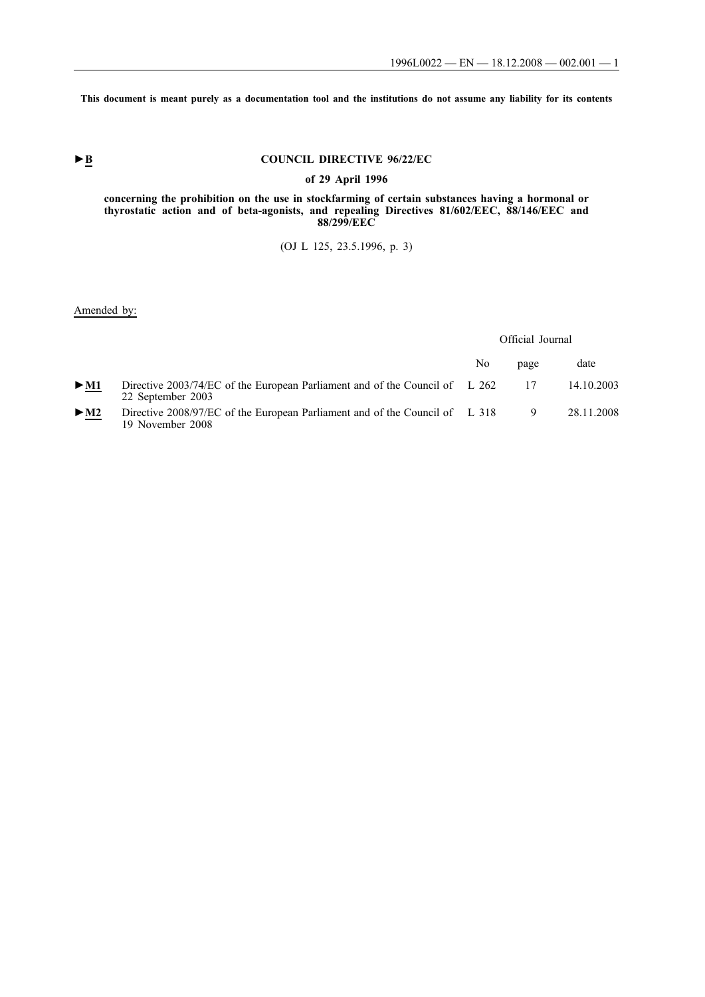**This document is meant purely as a documentation tool and the institutions do not assume any liability for its contents**

# ► **B** COUNCIL DIRECTIVE 96/22/EC

### **of 29 April 1996**

**concerning the prohibition on the use in stockfarming of certain substances having a hormonal or thyrostatic action and of beta-agonists, and repealing Directives 81/602/EEC, 88/146/EEC and 88/299/EEC**

(OJ L 125, 23.5.1996, p. 3)

Amended by:

Official Journal

|                          |                                                                                                      | No | page | date       |
|--------------------------|------------------------------------------------------------------------------------------------------|----|------|------------|
| $\blacktriangleright$ M1 | Directive $2003/74/EC$ of the European Parliament and of the Council of L 262<br>22 September 2003   |    |      | 14.10.2003 |
| $>$ M2                   | Directive 2008/97/EC of the European Parliament and of the Council of $\;$ L 318<br>19 November 2008 |    | 9    | 28.11.2008 |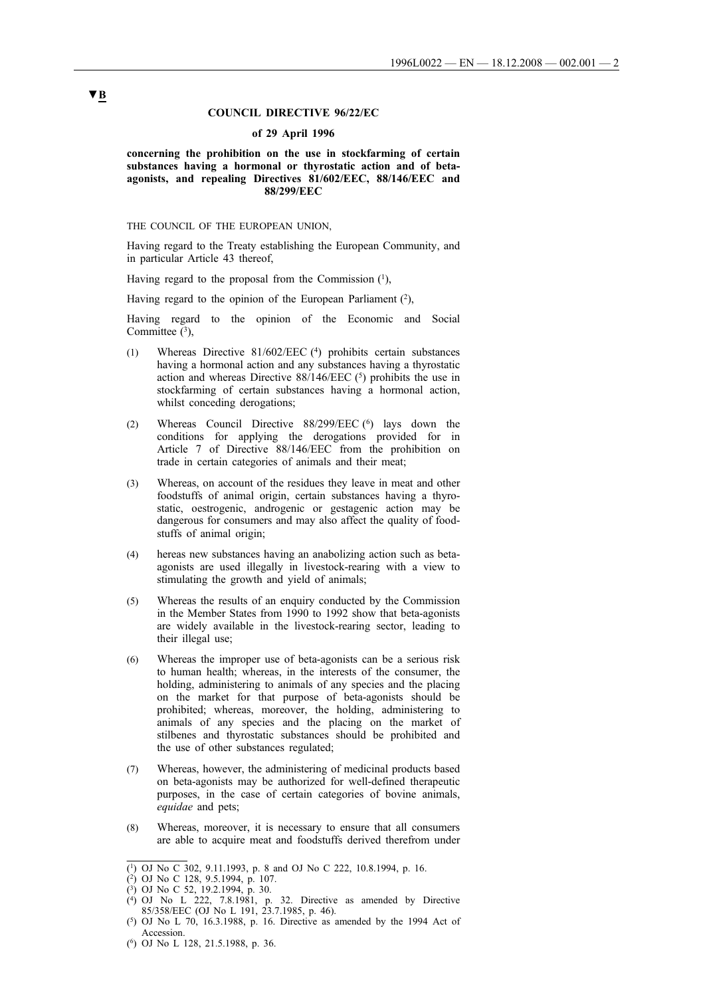### **COUNCIL DIRECTIVE 96/22/EC**

#### **of 29 April 1996**

### **concerning the prohibition on the use in stockfarming of certain substances having a hormonal or thyrostatic action and of betaagonists, and repealing Directives 81/602/EEC, 88/146/EEC and 88/299/EEC**

THE COUNCIL OF THE EUROPEAN UNION,

Having regard to the Treaty establishing the European Community, and in particular Article 43 thereof,

Having regard to the proposal from the Commission  $(1)$ ,

Having regard to the opinion of the European Parliament  $(2)$ ,

Having regard to the opinion of the Economic and Social Committee  $(3)$ ,

- (1) Whereas Directive 81/602/EEC (4) prohibits certain substances having a hormonal action and any substances having a thyrostatic action and whereas Directive  $88/146/EEC$  (5) prohibits the use in stockfarming of certain substances having a hormonal action, whilst conceding derogations;
- (2) Whereas Council Directive 88/299/EEC (6) lays down the conditions for applying the derogations provided for in Article 7 of Directive 88/146/EEC from the prohibition on trade in certain categories of animals and their meat;
- (3) Whereas, on account of the residues they leave in meat and other foodstuffs of animal origin, certain substances having a thyrostatic, oestrogenic, androgenic or gestagenic action may be dangerous for consumers and may also affect the quality of foodstuffs of animal origin;
- (4) hereas new substances having an anabolizing action such as betaagonists are used illegally in livestock-rearing with a view to stimulating the growth and yield of animals;
- (5) Whereas the results of an enquiry conducted by the Commission in the Member States from 1990 to 1992 show that beta-agonists are widely available in the livestock-rearing sector, leading to their illegal use;
- (6) Whereas the improper use of beta-agonists can be a serious risk to human health; whereas, in the interests of the consumer, the holding, administering to animals of any species and the placing on the market for that purpose of beta-agonists should be prohibited; whereas, moreover, the holding, administering to animals of any species and the placing on the market of stilbenes and thyrostatic substances should be prohibited and the use of other substances regulated;
- (7) Whereas, however, the administering of medicinal products based on beta-agonists may be authorized for well-defined therapeutic purposes, in the case of certain categories of bovine animals, *equidae* and pets;
- (8) Whereas, moreover, it is necessary to ensure that all consumers are able to acquire meat and foodstuffs derived therefrom under

<sup>(1)</sup> OJ No C 302, 9.11.1993, p. 8 and OJ No C 222, 10.8.1994, p. 16.

<sup>(2)</sup> OJ No C 128, 9.5.1994, p. 107.

<sup>(3)</sup> OJ No C 52, 19.2.1994, p. 30.

<sup>(4)</sup> OJ No L 222, 7.8.1981, p. 32. Directive as amended by Directive 85/358/EEC (OJ No L 191, 23.7.1985, p. 46).

 $(5)$  OJ No L 70, 16.3.1988, p. 16. Directive as amended by the 1994 Act of Accession.

<sup>(6)</sup> OJ No L 128, 21.5.1988, p. 36.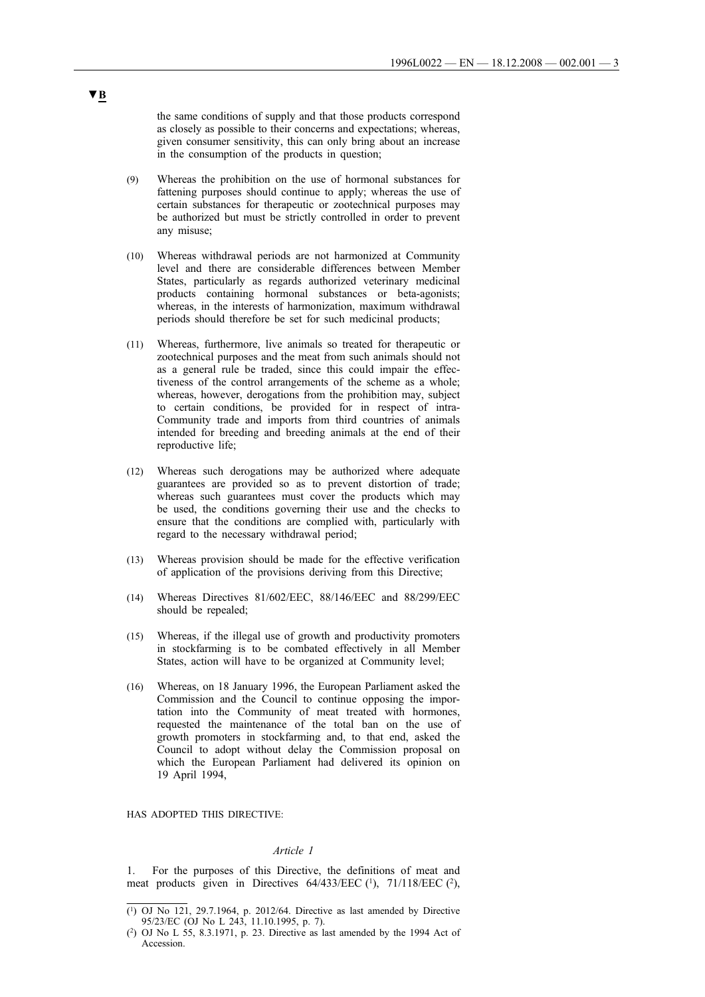the same conditions of supply and that those products correspond as closely as possible to their concerns and expectations; whereas, given consumer sensitivity, this can only bring about an increase in the consumption of the products in question;

- (9) Whereas the prohibition on the use of hormonal substances for fattening purposes should continue to apply; whereas the use of certain substances for therapeutic or zootechnical purposes may be authorized but must be strictly controlled in order to prevent any misuse;
- (10) Whereas withdrawal periods are not harmonized at Community level and there are considerable differences between Member States, particularly as regards authorized veterinary medicinal products containing hormonal substances or beta-agonists; whereas, in the interests of harmonization, maximum withdrawal periods should therefore be set for such medicinal products;
- (11) Whereas, furthermore, live animals so treated for therapeutic or zootechnical purposes and the meat from such animals should not as a general rule be traded, since this could impair the effectiveness of the control arrangements of the scheme as a whole; whereas, however, derogations from the prohibition may, subject to certain conditions, be provided for in respect of intra-Community trade and imports from third countries of animals intended for breeding and breeding animals at the end of their reproductive life;
- (12) Whereas such derogations may be authorized where adequate guarantees are provided so as to prevent distortion of trade; whereas such guarantees must cover the products which may be used, the conditions governing their use and the checks to ensure that the conditions are complied with, particularly with regard to the necessary withdrawal period;
- (13) Whereas provision should be made for the effective verification of application of the provisions deriving from this Directive;
- (14) Whereas Directives 81/602/EEC, 88/146/EEC and 88/299/EEC should be repealed;
- (15) Whereas, if the illegal use of growth and productivity promoters in stockfarming is to be combated effectively in all Member States, action will have to be organized at Community level;
- (16) Whereas, on 18 January 1996, the European Parliament asked the Commission and the Council to continue opposing the importation into the Community of meat treated with hormones, requested the maintenance of the total ban on the use of growth promoters in stockfarming and, to that end, asked the Council to adopt without delay the Commission proposal on which the European Parliament had delivered its opinion on 19 April 1994,

HAS ADOPTED THIS DIRECTIVE:

### *Article 1*

1. For the purposes of this Directive, the definitions of meat and meat products given in Directives 64/433/EEC (1), 71/118/EEC (2),

<sup>(1)</sup> OJ No 121, 29.7.1964, p. 2012/64. Directive as last amended by Directive 95/23/EC (OJ No L 243, 11.10.1995, p. 7).

<sup>(2)</sup> OJ No L 55, 8.3.1971, p. 23. Directive as last amended by the 1994 Act of Accession.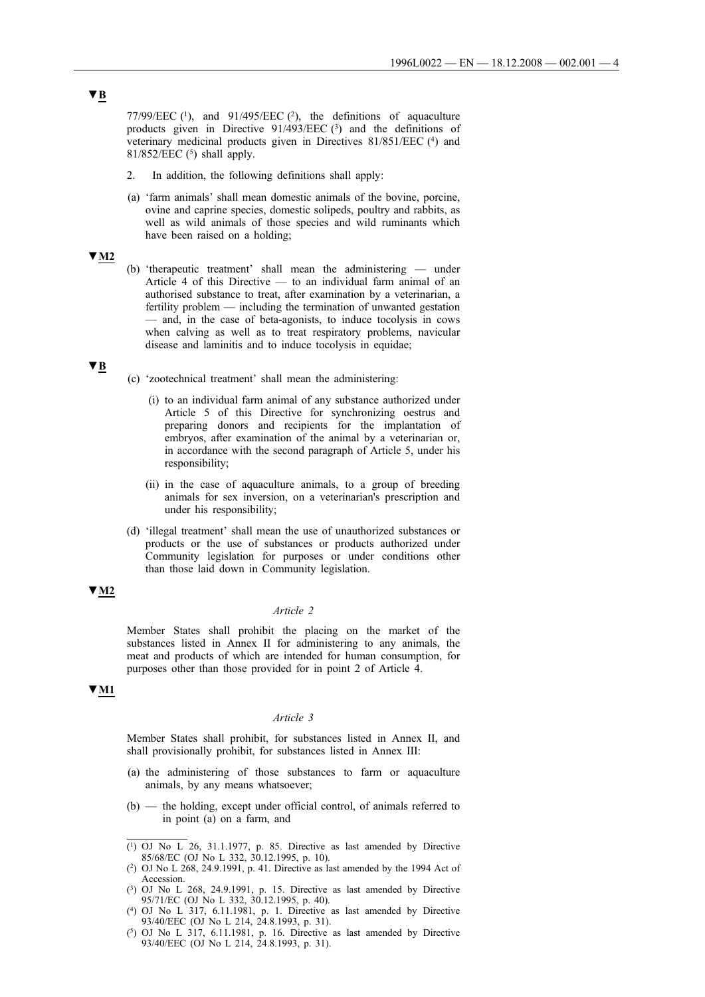77/99/EEC  $(1)$ , and 91/495/EEC  $(2)$ , the definitions of aquaculture products given in Directive  $91/493/EEC$  (3) and the definitions of veterinary medicinal products given in Directives 81/851/EEC (4) and  $81/852/EEC$  (<sup>5</sup>) shall apply.

- 2. In addition, the following definitions shall apply:
- (a) 'farm animals' shall mean domestic animals of the bovine, porcine, ovine and caprine species, domestic solipeds, poultry and rabbits, as well as wild animals of those species and wild ruminants which have been raised on a holding;

### **▼M2**

(b) 'therapeutic treatment' shall mean the administering — under Article 4 of this Directive — to an individual farm animal of an authorised substance to treat, after examination by a veterinarian, a fertility problem — including the termination of unwanted gestation — and, in the case of beta-agonists, to induce tocolysis in cows when calving as well as to treat respiratory problems, navicular disease and laminitis and to induce tocolysis in equidae;

#### **▼B**

- (c) 'zootechnical treatment' shall mean the administering:
	- (i) to an individual farm animal of any substance authorized under Article 5 of this Directive for synchronizing oestrus and preparing donors and recipients for the implantation of embryos, after examination of the animal by a veterinarian or, in accordance with the second paragraph of Article 5, under his responsibility;
	- (ii) in the case of aquaculture animals, to a group of breeding animals for sex inversion, on a veterinarian's prescription and under his responsibility;
- (d) 'illegal treatment' shall mean the use of unauthorized substances or products or the use of substances or products authorized under Community legislation for purposes or under conditions other than those laid down in Community legislation.

## **▼M2**

#### *Article 2*

Member States shall prohibit the placing on the market of the substances listed in Annex II for administering to any animals, the meat and products of which are intended for human consumption, for purposes other than those provided for in point 2 of Article 4.

### **▼M1**

### *Article 3*

Member States shall prohibit, for substances listed in Annex II, and shall provisionally prohibit, for substances listed in Annex III:

- (a) the administering of those substances to farm or aquaculture animals, by any means whatsoever;
- (b) the holding, except under official control, of animals referred to in point (a) on a farm, and
- (1) OJ No L 26, 31.1.1977, p. 85. Directive as last amended by Directive 85/68/EC (OJ No L 332, 30.12.1995, p. 10).

<sup>(2)</sup> OJ No L 268, 24.9.1991, p. 41. Directive as last amended by the 1994 Act of Accession.

 $(3)$  OJ No L 268, 24.9.1991, p. 15. Directive as last amended by Directive 95/71/EC (OJ No L 332, 30.12.1995, p. 40).

<sup>(4)</sup> OJ No L 317, 6.11.1981, p. 1. Directive as last amended by Directive 93/40/EEC (OJ No L 214, 24.8.1993, p. 31).

 $(5)$  OJ No L 317, 6.11.1981, p. 16. Directive as last amended by Directive 93/40/EEC (OJ No L 214, 24.8.1993, p. 31).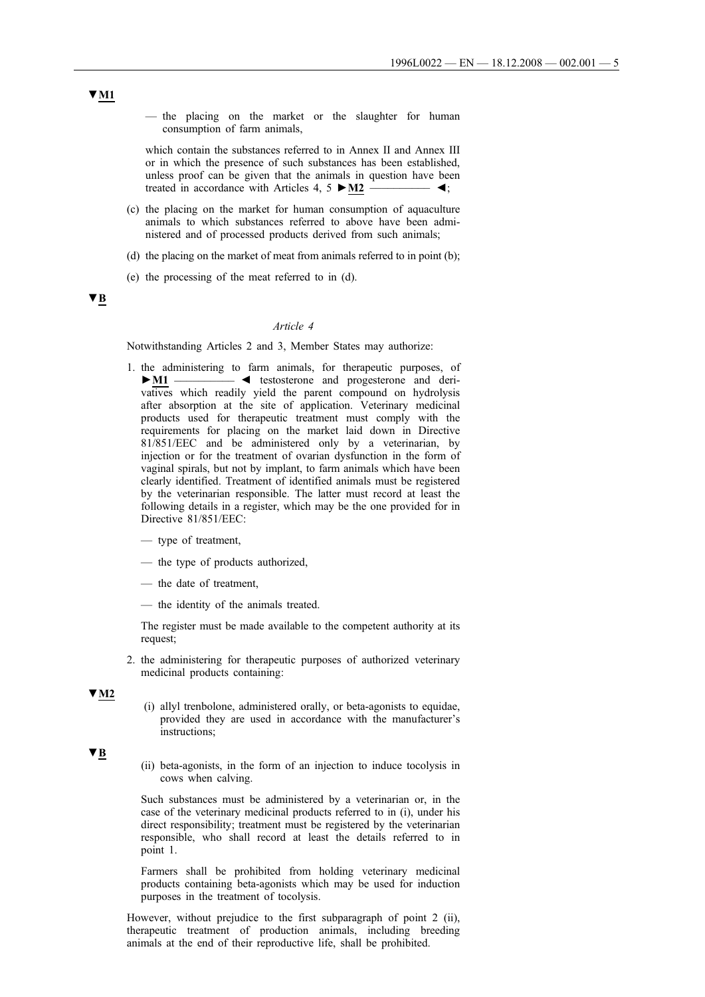— the placing on the market or the slaughter for human consumption of farm animals,

which contain the substances referred to in Annex II and Annex III or in which the presence of such substances has been established, unless proof can be given that the animals in question have been treated in accordance with Articles 4, 5 **►M2** \_\_\_\_\_\_\_\_\_\_ ◄;

- (c) the placing on the market for human consumption of aquaculture animals to which substances referred to above have been administered and of processed products derived from such animals;
- (d) the placing on the market of meat from animals referred to in point (b);
- (e) the processing of the meat referred to in (d).

### **▼B**

#### *Article 4*

Notwithstanding Articles 2 and 3, Member States may authorize:

- 1. the administering to farm animals, for therapeutic purposes, of **►M1** \_\_\_\_\_\_\_\_\_\_ ◄ testosterone and progesterone and derivatives which readily yield the parent compound on hydrolysis after absorption at the site of application. Veterinary medicinal products used for therapeutic treatment must comply with the requirements for placing on the market laid down in Directive 81/851/EEC and be administered only by a veterinarian, by injection or for the treatment of ovarian dysfunction in the form of vaginal spirals, but not by implant, to farm animals which have been clearly identified. Treatment of identified animals must be registered by the veterinarian responsible. The latter must record at least the following details in a register, which may be the one provided for in Directive 81/851/EEC:
	- type of treatment,
	- the type of products authorized,
	- the date of treatment,
	- the identity of the animals treated.

The register must be made available to the competent authority at its request;

2. the administering for therapeutic purposes of authorized veterinary medicinal products containing:

### **▼M2**

(i) allyl trenbolone, administered orally, or beta-agonists to equidae, provided they are used in accordance with the manufacturer's instructions;

### **▼B**

(ii) beta-agonists, in the form of an injection to induce tocolysis in cows when calving.

Such substances must be administered by a veterinarian or, in the case of the veterinary medicinal products referred to in (i), under his direct responsibility; treatment must be registered by the veterinarian responsible, who shall record at least the details referred to in point 1.

Farmers shall be prohibited from holding veterinary medicinal products containing beta-agonists which may be used for induction purposes in the treatment of tocolysis.

However, without prejudice to the first subparagraph of point 2 (ii), therapeutic treatment of production animals, including breeding animals at the end of their reproductive life, shall be prohibited.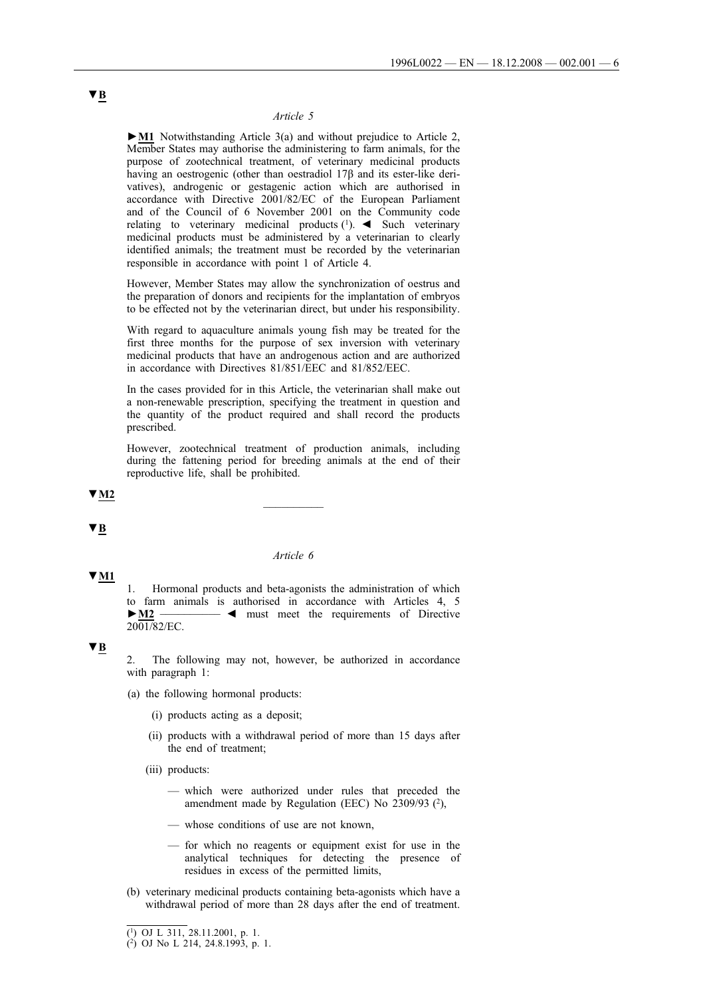### *Article 5*

**►M1** Notwithstanding Article 3(a) and without prejudice to Article 2, Member States may authorise the administering to farm animals, for the purpose of zootechnical treatment, of veterinary medicinal products having an oestrogenic (other than oestradiol 17β and its ester-like derivatives), androgenic or gestagenic action which are authorised in accordance with Directive 2001/82/EC of the European Parliament and of the Council of 6 November 2001 on the Community code relating to veterinary medicinal products (1). ◄ Such veterinary medicinal products must be administered by a veterinarian to clearly identified animals; the treatment must be recorded by the veterinarian responsible in accordance with point 1 of Article 4.

However, Member States may allow the synchronization of oestrus and the preparation of donors and recipients for the implantation of embryos to be effected not by the veterinarian direct, but under his responsibility.

With regard to aquaculture animals young fish may be treated for the first three months for the purpose of sex inversion with veterinary medicinal products that have an androgenous action and are authorized in accordance with Directives 81/851/EEC and 81/852/EEC.

In the cases provided for in this Article, the veterinarian shall make out a non-renewable prescription, specifying the treatment in question and the quantity of the product required and shall record the products prescribed.

However, zootechnical treatment of production animals, including during the fattening period for breeding animals at the end of their reproductive life, shall be prohibited.

# **▼M2** \_\_\_\_\_\_\_\_\_\_

**▼B**

**▼M1**

#### *Article 6*

1. Hormonal products and beta-agonists the administration of which to farm animals is authorised in accordance with Articles 4, 5 **►M2** \_\_\_\_\_\_\_\_\_\_ ◄ must meet the requirements of Directive  $2001/82/EC$ .

### **▼B**

2. The following may not, however, be authorized in accordance with paragraph 1:

- (a) the following hormonal products:
	- (i) products acting as a deposit;
	- (ii) products with a withdrawal period of more than 15 days after the end of treatment;
	- (iii) products:
		- which were authorized under rules that preceded the amendment made by Regulation (EEC) No 2309/93 (2),
		- whose conditions of use are not known,
		- for which no reagents or equipment exist for use in the analytical techniques for detecting the presence of residues in excess of the permitted limits,
- (b) veterinary medicinal products containing beta-agonists which have a withdrawal period of more than 28 days after the end of treatment.

<sup>(1)</sup> OJ L 311, 28.11.2001, p. 1.

<sup>(2)</sup> OJ No L 214, 24.8.1993, p. 1.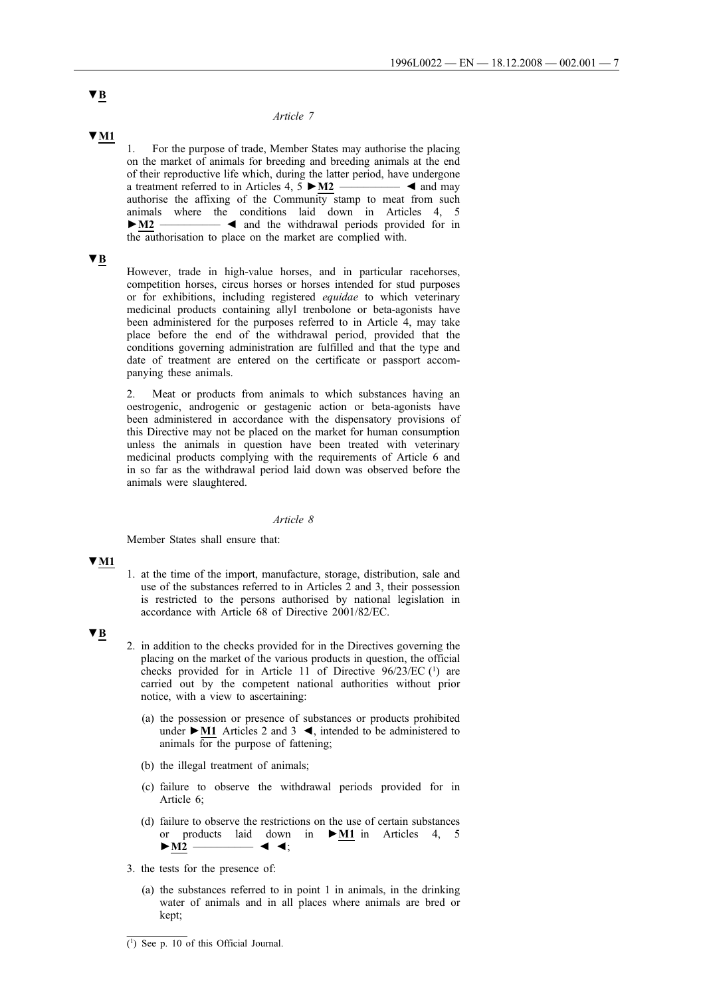### *Article 7*

**▼M1**

1. For the purpose of trade, Member States may authorise the placing on the market of animals for breeding and breeding animals at the end of their reproductive life which, during the latter period, have undergone a treatment referred to in Articles  $4, 5 \blacktriangleright M2$   $\longrightarrow$   $\blacktriangleleft$  and may authorise the affixing of the Community stamp to meat from such animals where the conditions laid down in Articles 4, 5 **►M2** \_\_\_\_\_\_\_\_\_\_ ◄ and the withdrawal periods provided for in the authorisation to place on the market are complied with.

### **▼B**

However, trade in high-value horses, and in particular racehorses, competition horses, circus horses or horses intended for stud purposes or for exhibitions, including registered *equidae* to which veterinary medicinal products containing allyl trenbolone or beta-agonists have been administered for the purposes referred to in Article 4, may take place before the end of the withdrawal period, provided that the conditions governing administration are fulfilled and that the type and date of treatment are entered on the certificate or passport accompanying these animals.

2. Meat or products from animals to which substances having an oestrogenic, androgenic or gestagenic action or beta-agonists have been administered in accordance with the dispensatory provisions of this Directive may not be placed on the market for human consumption unless the animals in question have been treated with veterinary medicinal products complying with the requirements of Article 6 and in so far as the withdrawal period laid down was observed before the animals were slaughtered.

#### *Article 8*

Member States shall ensure that:

### **▼M1**

1. at the time of the import, manufacture, storage, distribution, sale and use of the substances referred to in Articles 2 and 3, their possession is restricted to the persons authorised by national legislation in accordance with Article 68 of Directive 2001/82/EC.

### **▼B**

- 2. in addition to the checks provided for in the Directives governing the placing on the market of the various products in question, the official checks provided for in Article 11 of Directive  $96/23/EC$  (1) are carried out by the competent national authorities without prior notice, with a view to ascertaining:
	- (a) the possession or presence of substances or products prohibited under **►M1** Articles 2 and 3 ◄, intended to be administered to animals for the purpose of fattening;
	- (b) the illegal treatment of animals;
	- (c) failure to observe the withdrawal periods provided for in Article 6;
	- (d) failure to observe the restrictions on the use of certain substances in  $\triangleright$  **M1** in Articles 4, 5 or products laid down<br> $\blacktriangleright$  <u>M2</u>  $\longrightarrow$   $\blacktriangleleft$   $\blacktriangleleft$ ;
- 3. the tests for the presence of:
	- (a) the substances referred to in point 1 in animals, in the drinking water of animals and in all places where animals are bred or kept;

<sup>(1)</sup> See p. 10 of this Official Journal.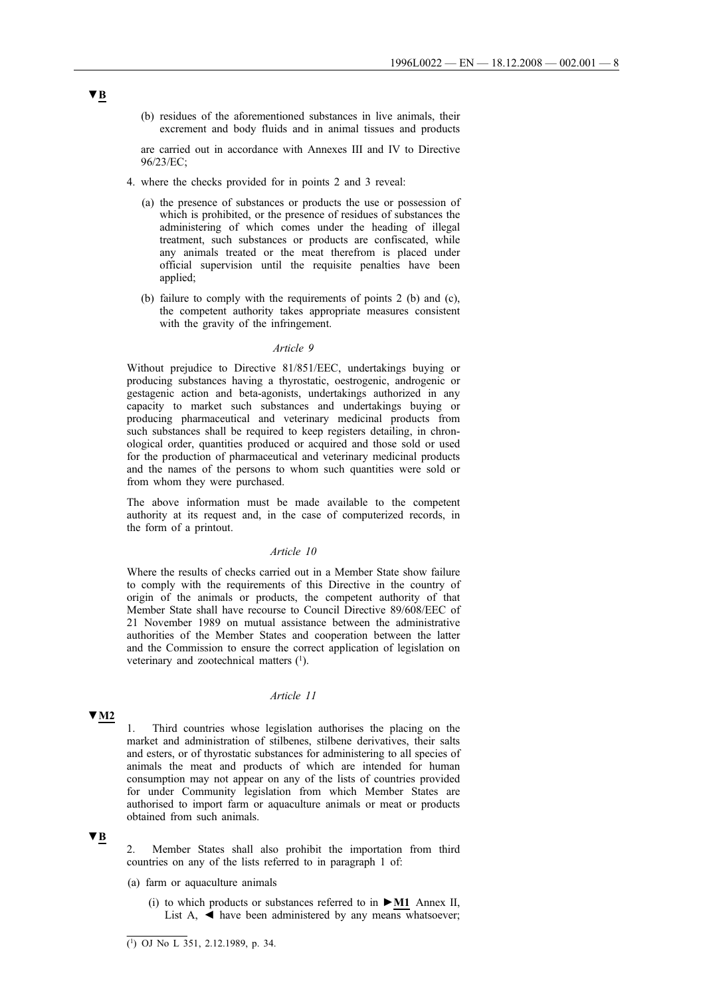(b) residues of the aforementioned substances in live animals, their excrement and body fluids and in animal tissues and products

are carried out in accordance with Annexes III and IV to Directive 96/23/EC;

- 4. where the checks provided for in points 2 and 3 reveal:
	- (a) the presence of substances or products the use or possession of which is prohibited, or the presence of residues of substances the administering of which comes under the heading of illegal treatment, such substances or products are confiscated, while any animals treated or the meat therefrom is placed under official supervision until the requisite penalties have been applied;
	- (b) failure to comply with the requirements of points 2 (b) and (c), the competent authority takes appropriate measures consistent with the gravity of the infringement.

### *Article 9*

Without prejudice to Directive 81/851/EEC, undertakings buying or producing substances having a thyrostatic, oestrogenic, androgenic or gestagenic action and beta-agonists, undertakings authorized in any capacity to market such substances and undertakings buying or producing pharmaceutical and veterinary medicinal products from such substances shall be required to keep registers detailing, in chronological order, quantities produced or acquired and those sold or used for the production of pharmaceutical and veterinary medicinal products and the names of the persons to whom such quantities were sold or from whom they were purchased.

The above information must be made available to the competent authority at its request and, in the case of computerized records, in the form of a printout.

## *Article 10*

Where the results of checks carried out in a Member State show failure to comply with the requirements of this Directive in the country of origin of the animals or products, the competent authority of that Member State shall have recourse to Council Directive 89/608/EEC of 21 November 1989 on mutual assistance between the administrative authorities of the Member States and cooperation between the latter and the Commission to ensure the correct application of legislation on veterinary and zootechnical matters  $(1)$ .

### *Article 11*

### **▼M2**

1. Third countries whose legislation authorises the placing on the market and administration of stilbenes, stilbene derivatives, their salts and esters, or of thyrostatic substances for administering to all species of animals the meat and products of which are intended for human consumption may not appear on any of the lists of countries provided for under Community legislation from which Member States are authorised to import farm or aquaculture animals or meat or products obtained from such animals.

# **▼B**

2. Member States shall also prohibit the importation from third countries on any of the lists referred to in paragraph 1 of:

- (a) farm or aquaculture animals
	- (i) to which products or substances referred to in **►M1** Annex II, List A,  $\blacktriangleleft$  have been administered by any means whatsoever;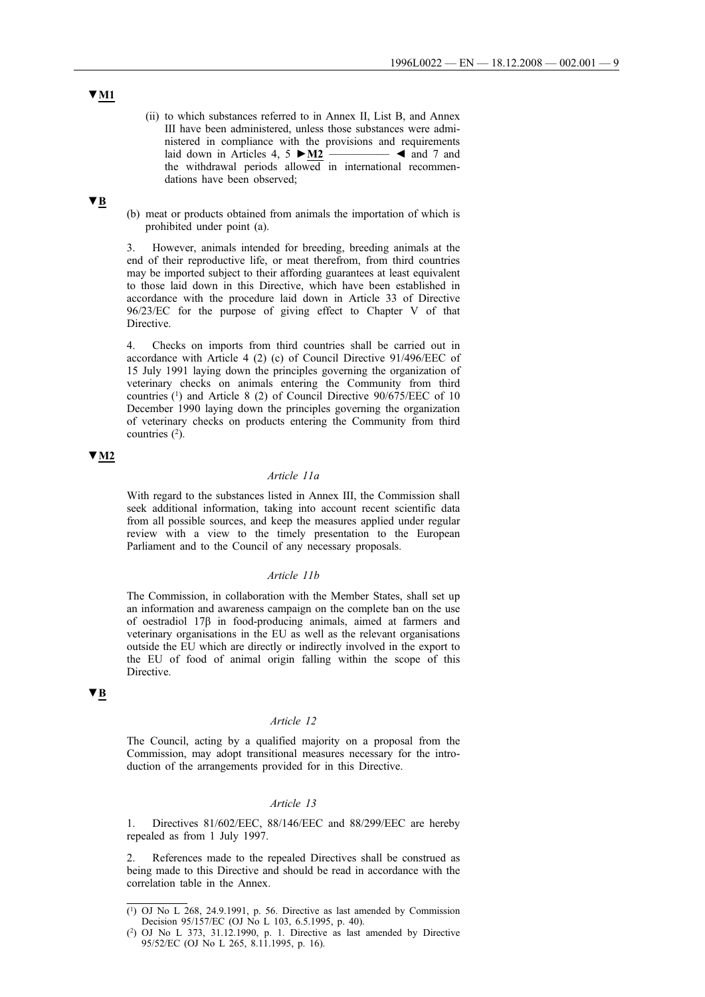- (ii) to which substances referred to in Annex II, List B, and Annex III have been administered, unless those substances were administered in compliance with the provisions and requirements laid down in Articles 4, 5 **►M2** \_\_\_\_\_\_\_\_\_\_ ◄ and 7 and the withdrawal periods allowed in international recommendations have been observed;
- (b) meat or products obtained from animals the importation of which is prohibited under point (a).

3. However, animals intended for breeding, breeding animals at the end of their reproductive life, or meat therefrom, from third countries may be imported subject to their affording guarantees at least equivalent to those laid down in this Directive, which have been established in accordance with the procedure laid down in Article 33 of Directive 96/23/EC for the purpose of giving effect to Chapter V of that Directive.

4. Checks on imports from third countries shall be carried out in accordance with Article 4 (2) (c) of Council Directive 91/496/EEC of 15 July 1991 laying down the principles governing the organization of veterinary checks on animals entering the Community from third countries (1) and Article 8 (2) of Council Directive 90/675/EEC of 10 December 1990 laying down the principles governing the organization of veterinary checks on products entering the Community from third countries  $(2)$ .

### **▼M2**

### *Article 11a*

With regard to the substances listed in Annex III, the Commission shall seek additional information, taking into account recent scientific data from all possible sources, and keep the measures applied under regular review with a view to the timely presentation to the European Parliament and to the Council of any necessary proposals.

### *Article 11b*

The Commission, in collaboration with the Member States, shall set up an information and awareness campaign on the complete ban on the use of oestradiol 17β in food-producing animals, aimed at farmers and veterinary organisations in the EU as well as the relevant organisations outside the EU which are directly or indirectly involved in the export to the EU of food of animal origin falling within the scope of this Directive.

### **▼B**

#### *Article 12*

The Council, acting by a qualified majority on a proposal from the Commission, may adopt transitional measures necessary for the introduction of the arrangements provided for in this Directive.

#### *Article 13*

1. Directives 81/602/EEC, 88/146/EEC and 88/299/EEC are hereby repealed as from 1 July 1997.

2. References made to the repealed Directives shall be construed as being made to this Directive and should be read in accordance with the correlation table in the Annex.

# **▼M1**

 $(1)$  OJ No L 268, 24.9.1991, p. 56. Directive as last amended by Commission Decision 95/157/EC (OJ No L 103, 6.5.1995, p. 40).

<sup>(2)</sup> OJ No L 373, 31.12.1990, p. 1. Directive as last amended by Directive 95/52/EC (OJ No L 265, 8.11.1995, p. 16).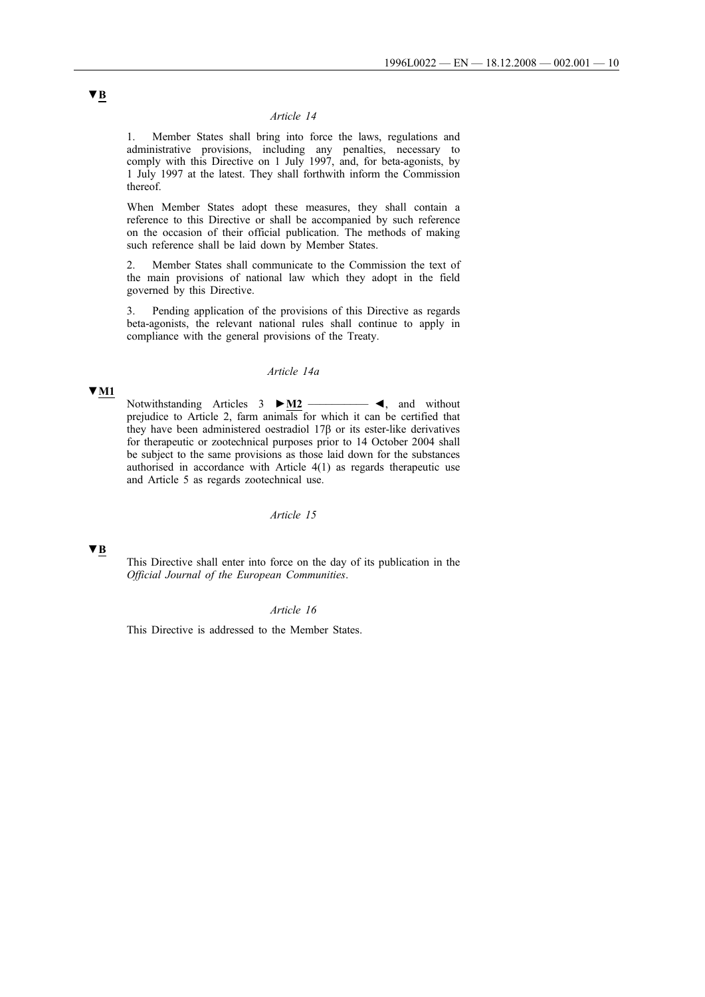### *Article 14*

1. Member States shall bring into force the laws, regulations and administrative provisions, including any penalties, necessary to comply with this Directive on 1 July 1997, and, for beta-agonists, by 1 July 1997 at the latest. They shall forthwith inform the Commission thereof.

When Member States adopt these measures, they shall contain a reference to this Directive or shall be accompanied by such reference on the occasion of their official publication. The methods of making such reference shall be laid down by Member States.

2. Member States shall communicate to the Commission the text of the main provisions of national law which they adopt in the field governed by this Directive.

3. Pending application of the provisions of this Directive as regards beta-agonists, the relevant national rules shall continue to apply in compliance with the general provisions of the Treaty.

#### *Article 14a*

#### **▼M1**

Notwithstanding Articles 3 **►M2** \_\_\_\_\_\_\_\_\_\_ ◄, and without prejudice to Article 2, farm animals for which it can be certified that they have been administered oestradiol 17β or its ester-like derivatives for therapeutic or zootechnical purposes prior to 14 October 2004 shall be subject to the same provisions as those laid down for the substances authorised in accordance with Article 4(1) as regards therapeutic use and Article 5 as regards zootechnical use.

#### *Article 15*

## **▼B**

This Directive shall enter into force on the day of its publication in the *Official Journal of the European Communities*.

#### *Article 16*

This Directive is addressed to the Member States.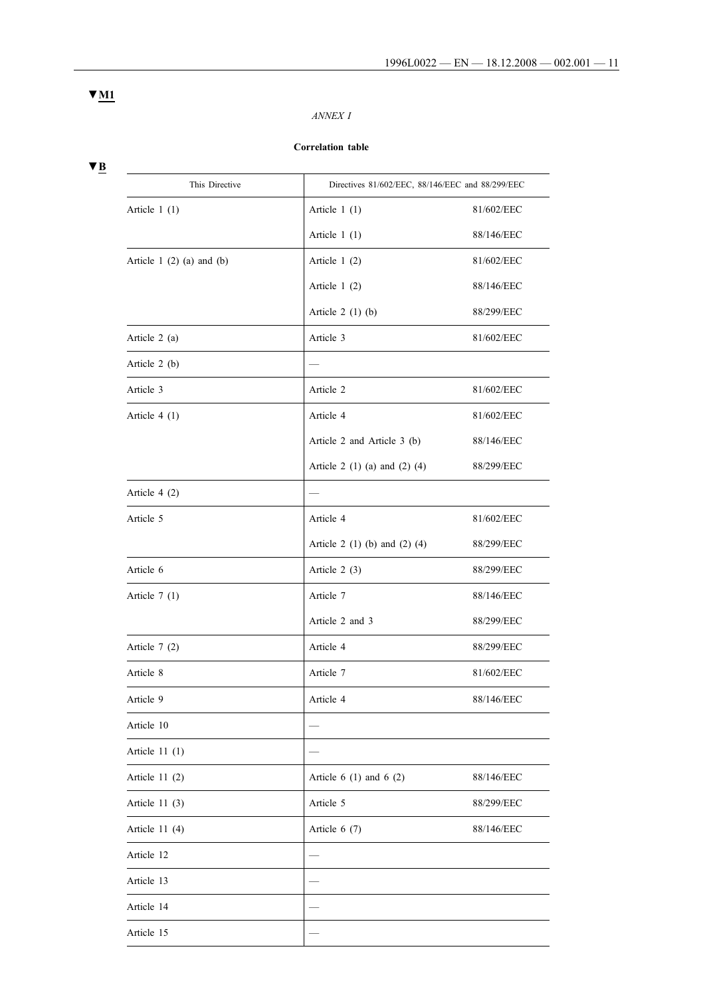## *ANNEX I*

### **Correlation table**

**▼B**

| This Directive                  |                               | Directives 81/602/EEC, 88/146/EEC and 88/299/EEC |  |  |
|---------------------------------|-------------------------------|--------------------------------------------------|--|--|
| Article $1(1)$                  | Article $1(1)$                | 81/602/EEC                                       |  |  |
|                                 | Article $1(1)$                | 88/146/EEC                                       |  |  |
| Article 1 $(2)$ $(a)$ and $(b)$ | Article $1(2)$                | 81/602/EEC                                       |  |  |
|                                 | Article $1(2)$                | 88/146/EEC                                       |  |  |
|                                 | Article $2(1)(b)$             | 88/299/EEC                                       |  |  |
| Article 2 (a)                   | Article 3                     | 81/602/EEC                                       |  |  |
| Article $2(b)$                  |                               |                                                  |  |  |
| Article 3                       | Article 2                     | 81/602/EEC                                       |  |  |
| Article $4(1)$                  | Article 4                     | 81/602/EEC                                       |  |  |
|                                 | Article 2 and Article 3 (b)   | 88/146/EEC                                       |  |  |
|                                 | Article 2 (1) (a) and (2) (4) | 88/299/EEC                                       |  |  |
| Article $4(2)$                  |                               |                                                  |  |  |
| Article 5                       | Article 4                     | 81/602/EEC                                       |  |  |
|                                 | Article 2 (1) (b) and (2) (4) | 88/299/EEC                                       |  |  |
| Article 6                       | Article $2(3)$                | 88/299/EEC                                       |  |  |
| Article $7(1)$                  | Article 7                     | 88/146/EEC                                       |  |  |
|                                 | Article 2 and 3               | 88/299/EEC                                       |  |  |
| Article $7(2)$                  | Article 4                     | 88/299/EEC                                       |  |  |
| Article 8                       | Article 7                     | 81/602/EEC                                       |  |  |
| Article 9                       | Article 4                     | 88/146/EEC                                       |  |  |
| Article 10                      |                               |                                                  |  |  |
| Article $11(1)$                 |                               |                                                  |  |  |
| Article $11(2)$                 | Article $6(1)$ and $6(2)$     | 88/146/EEC                                       |  |  |
| Article $11(3)$                 | Article 5                     | 88/299/EEC                                       |  |  |
| Article $11(4)$                 | Article $6(7)$                | 88/146/EEC                                       |  |  |
| Article 12                      |                               |                                                  |  |  |
| Article 13                      |                               |                                                  |  |  |
| Article 14                      |                               |                                                  |  |  |
| Article 15                      |                               |                                                  |  |  |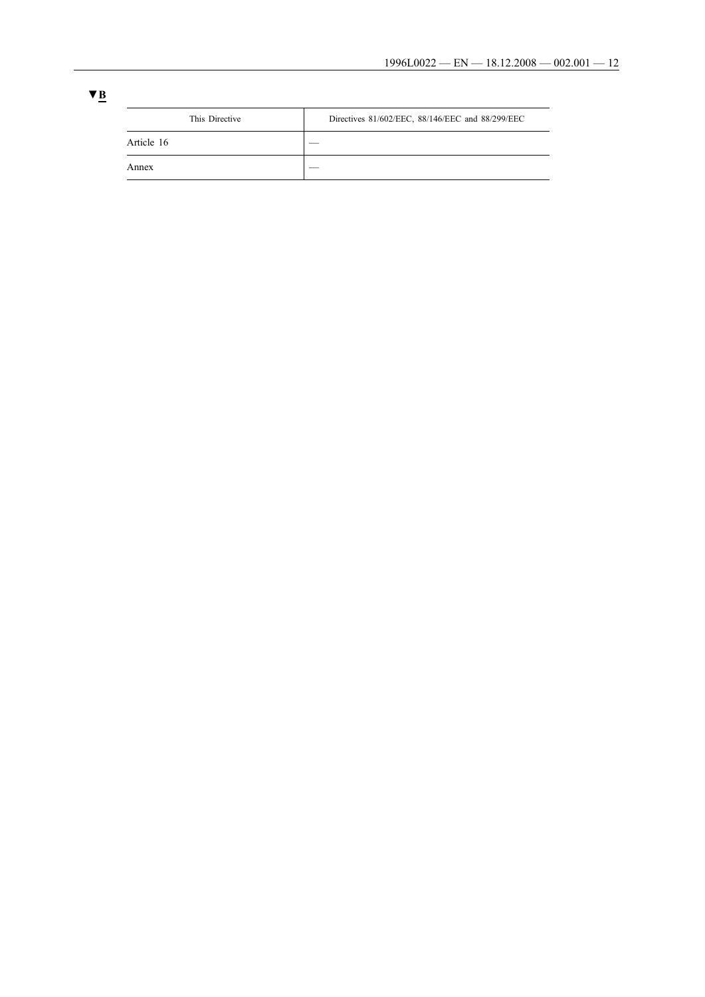| This Directive | Directives 81/602/EEC, 88/146/EEC and 88/299/EEC |
|----------------|--------------------------------------------------|
| Article 16     |                                                  |
| Annex          |                                                  |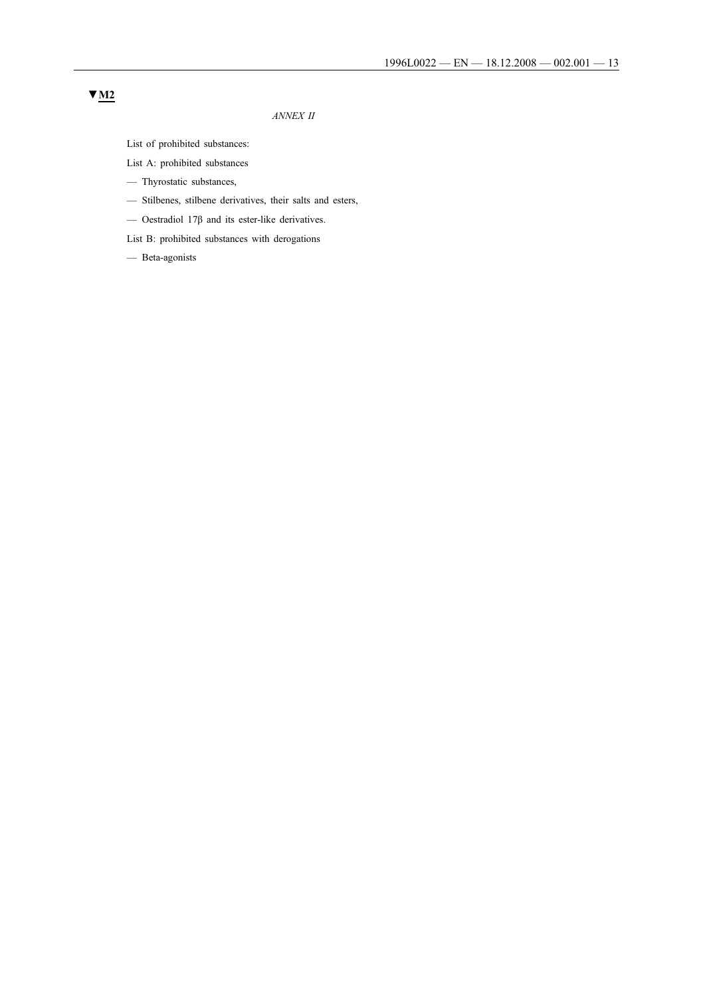### *ANNEX II*

List of prohibited substances:

- List A: prohibited substances
- Thyrostatic substances,
- Stilbenes, stilbene derivatives, their salts and esters,
- $-$  Oestradiol 17β and its ester-like derivatives.

List B: prohibited substances with derogations

— Beta-agonists